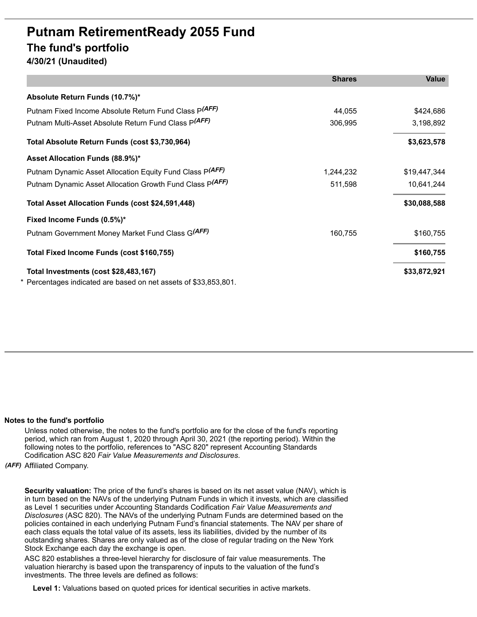# **Putnam RetirementReady 2055 Fund The fund's portfolio 4/30/21 (Unaudited)**

|                                                                  | <b>Shares</b> | <b>Value</b> |
|------------------------------------------------------------------|---------------|--------------|
| Absolute Return Funds (10.7%)*                                   |               |              |
| Putnam Fixed Income Absolute Return Fund Class P(AFF)            | 44,055        | \$424,686    |
| Putnam Multi-Asset Absolute Return Fund Class P(AFF)             | 306,995       | 3,198,892    |
| Total Absolute Return Funds (cost \$3,730,964)                   |               | \$3,623,578  |
| Asset Allocation Funds (88.9%)*                                  |               |              |
| Putnam Dynamic Asset Allocation Equity Fund Class P(AFF)         | 1,244,232     | \$19,447,344 |
| Putnam Dynamic Asset Allocation Growth Fund Class P(AFF)         | 511,598       | 10,641,244   |
| Total Asset Allocation Funds (cost \$24,591,448)                 |               | \$30,088,588 |
| Fixed Income Funds (0.5%)*                                       |               |              |
| Putnam Government Money Market Fund Class G(AFF)                 | 160,755       | \$160,755    |
| Total Fixed Income Funds (cost \$160,755)                        |               | \$160,755    |
| Total Investments (cost \$28,483,167)                            |               | \$33,872,921 |
| * Percentages indicated are based on net assets of \$33,853,801. |               |              |

## **Notes to the fund's portfolio**

Unless noted otherwise, the notes to the fund's portfolio are for the close of the fund's reporting period, which ran from August 1, 2020 through April 30, 2021 (the reporting period). Within the following notes to the portfolio, references to "ASC 820" represent Accounting Standards Codification ASC 820 *Fair Value Measurements and Disclosures*.

#### *(AFF)* Affiliated Company.

**Security valuation:** The price of the fund's shares is based on its net asset value (NAV), which is in turn based on the NAVs of the underlying Putnam Funds in which it invests, which are classified as Level 1 securities under Accounting Standards Codification *Fair Value Measurements and Disclosures* (ASC 820). The NAVs of the underlying Putnam Funds are determined based on the policies contained in each underlying Putnam Fund's financial statements. The NAV per share of each class equals the total value of its assets, less its liabilities, divided by the number of its outstanding shares. Shares are only valued as of the close of regular trading on the New York Stock Exchange each day the exchange is open.

ASC 820 establishes a three-level hierarchy for disclosure of fair value measurements. The valuation hierarchy is based upon the transparency of inputs to the valuation of the fund's investments. The three levels are defined as follows:

**Level 1:** Valuations based on quoted prices for identical securities in active markets.